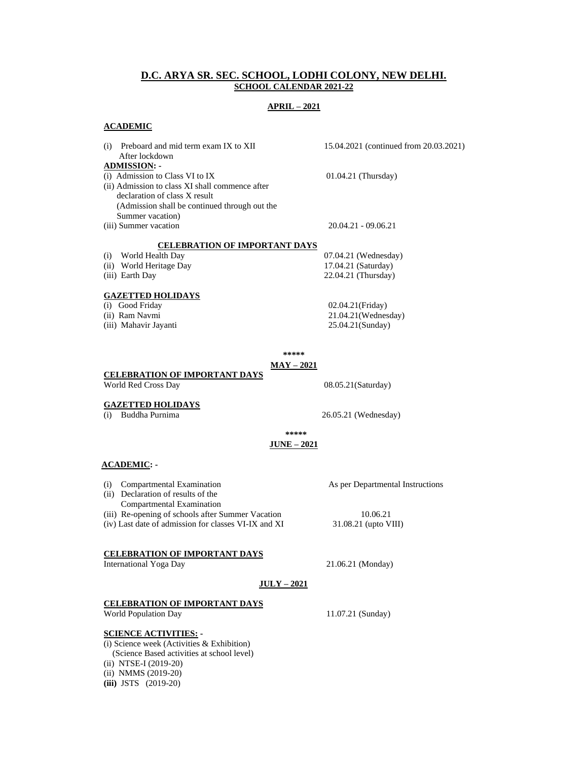# **D.C. ARYA SR. SEC. SCHOOL, LODHI COLONY, NEW DELHI. SCHOOL CALENDAR 2021-22**

# **APRIL – 2021**

## **ACADEMIC**

- (i) Preboard and mid term exam IX to XII 15.04.2021 (continued from 20.03.2021) After lockdown **ADMISSION: -** (i) Admission to Class VI to IX  $01.04.21$  (Thursday) (ii) Admission to class XI shall commence after declaration of class X result (Admission shall be continued through out the Summer vacation) (iii) Summer vacation 20.04.21 - 09.06.21  **CELEBRATION OF IMPORTANT DAYS** (i) World Health Day 07.04.21 (Wednesday) (ii) World Heritage Day 17.04.21 (Saturday) (iii) Earth Day 22.04.21 (Thursday) **GAZETTED HOLIDAYS** (i) Good Friday 02.04.21(Friday) (ii) Ram Navmi 21.04.21(Wednesday)
- 
- (iii) Mahavir Jayanti 25.04.21(Sunday)

**\*\*\*\*\***

# **MAY – 2021**

# **CELEBRATION OF IMPORTANT DAYS**

World Red Cross Day 08.05.21 (Saturday)

**GAZETTED HOLIDAYS**<br>(i) Buddha Purnima

26.05.21 (Wednesday)

**\*\*\*\*\***

# **JUNE – 2021**

# **ACADEMIC: -**

- (i) Compartmental Examination As per Departmental Instructions
- (ii) Declaration of results of the
- Compartmental Examination
- (iii) Re-opening of schools after Summer Vacation 10.06.21
- (iv) Last date of admission for classes VI-IX and XI 31.08.21 (upto VIII)

# **CELEBRATION OF IMPORTANT DAYS**

International Yoga Day 21.06.21 (Monday)

## **JULY – 2021**

## **CELEBRATION OF IMPORTANT DAYS**

World Population Day 11.07.21 (Sunday)

## **SCIENCE ACTIVITIES: -**

(i) Science week (Activities & Exhibition) (Science Based activities at school level) (ii) NTSE-I (2019-20) (ii) NMMS (2019-20) **(iii)** JSTS (2019-20)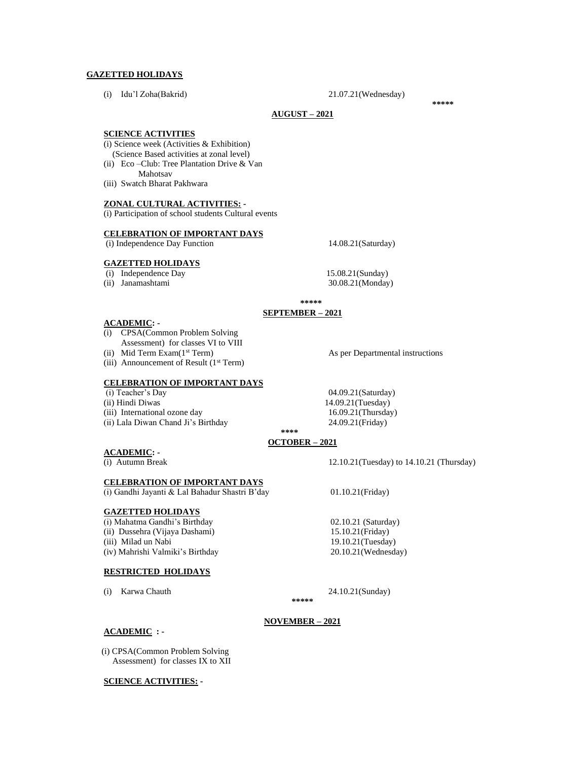## **GAZETTED HOLIDAYS**

(i) Idu'l Zoha(Bakrid) 21.07.21(Wednesday)

**\*\*\*\*\***

## **AUGUST – 2021**

#### **SCIENCE ACTIVITIES**

- (i) Science week (Activities & Exhibition)
- (Science Based activities at zonal level)
- (ii) Eco –Club: Tree Plantation Drive & Van Mahotsav
- (iii) Swatch Bharat Pakhwara

## **ZONAL CULTURAL ACTIVITIES: -**

(i) Participation of school students Cultural events

## **CELEBRATION OF IMPORTANT DAYS**

(i) Independence Day Function 14.08.21(Saturday)

## **GAZETTED HOLIDAYS**

- (i) Independence Day 15.08.21(Sunday)
- 

(ii) Janamashtami 30.08.21(Monday)

## **\*\*\*\*\* SEPTEMBER – 2021**

# **ACADEMIC: -**

- (i) CPSA(Common Problem Solving Assessment) for classes VI to VIII
- (ii) Mid Term Exam(1st Term) As per Departmental instructions
- (iii) Announcement of Result  $(1<sup>st</sup> Term)$

# **CELEBRATION OF IMPORTANT DAYS**

- (i) Teacher's Day 04.09.21(Saturday)
- (ii) Hindi Diwas 14.09.21(Tuesday)
- (iii) International ozone day 16.09.21(Thursday) (ii) Lala Diwan Chand Ji's Birthday 24.09.21(Friday)

# **\*\*\*\***

# **OCTOBER – 2021**

**ACADEMIC: -**

## **CELEBRATION OF IMPORTANT DAYS**

(i) Gandhi Jayanti & Lal Bahadur Shastri B'day 01.10.21(Friday)

## **GAZETTED HOLIDAYS**

(i) Mahatma Gandhi's Birthday 02.10.21 (Saturday) (ii) Dussehra (Vijaya Dashami) 15.10.21(Friday) (iii) Milad un Nabi 19.10.21(Tuesday) (iv) Mahrishi Valmiki's Birthday 20.10.21(Wednesday)

## **RESTRICTED HOLIDAYS**

(i) Karwa Chauth 24.10.21(Sunday)

(i) Autumn Break 12.10.21(Tuesday) to 14.10.21 (Thursday)

#### **NOVEMBER – 2021**

**\*\*\*\*\***

## **ACADEMIC : -**

 (i) CPSA(Common Problem Solving Assessment) for classes IX to XII

# **SCIENCE ACTIVITIES: -**